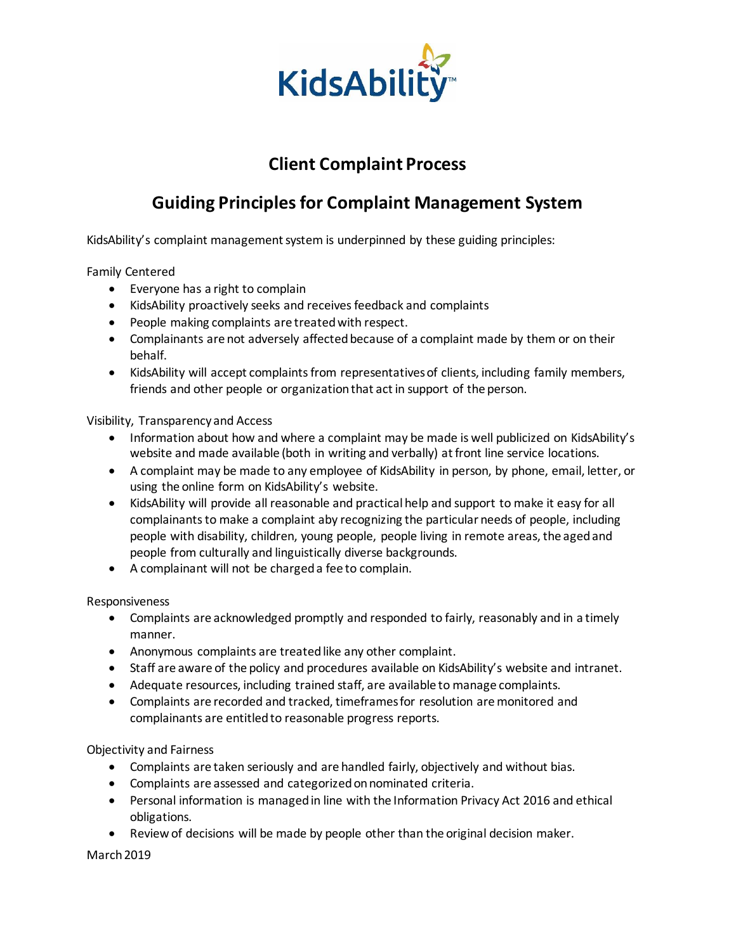

## **Client Complaint Process**

## **Guiding Principles for Complaint Management System**

KidsAbility's complaint management system is underpinned by these guiding principles:

Family Centered

- Everyone has a right to complain
- KidsAbility proactively seeks and receives feedback and complaints
- People making complaints are treated with respect.
- Complainants are not adversely affected because of a complaint made by them or on their behalf.
- KidsAbility will accept complaints from representatives of clients, including family members, friends and other people or organization that act in support of the person.

Visibility, Transparency and Access

- Information about how and where a complaint may be made is well publicized on KidsAbility's website and made available (both in writing and verbally) at front line service locations.
- A complaint may be made to any employee of KidsAbility in person, by phone, email, letter, or using the online form on KidsAbility's website.
- KidsAbility will provide all reasonable and practical help and support to make it easy for all complainants to make a complaint aby recognizing the particular needs of people, including people with disability, children, young people, people living in remote areas, the aged and people from culturally and linguistically diverse backgrounds.
- A complainant will not be charged a fee to complain.

Responsiveness

- Complaints are acknowledged promptly and responded to fairly, reasonably and in a timely manner.
- Anonymous complaints are treated like any other complaint.
- Staff are aware of the policy and procedures available on KidsAbility's website and intranet.
- Adequate resources, including trained staff, are available to manage complaints.
- Complaints are recorded and tracked, timeframes for resolution are monitored and complainants are entitled to reasonable progress reports.

Objectivity and Fairness

- Complaints are taken seriously and are handled fairly, objectively and without bias.
- Complaints are assessed and categorized on nominated criteria.
- Personal information is managed in line with the Information Privacy Act 2016 and ethical obligations.
- Review of decisions will be made by people other than the original decision maker.

March 2019